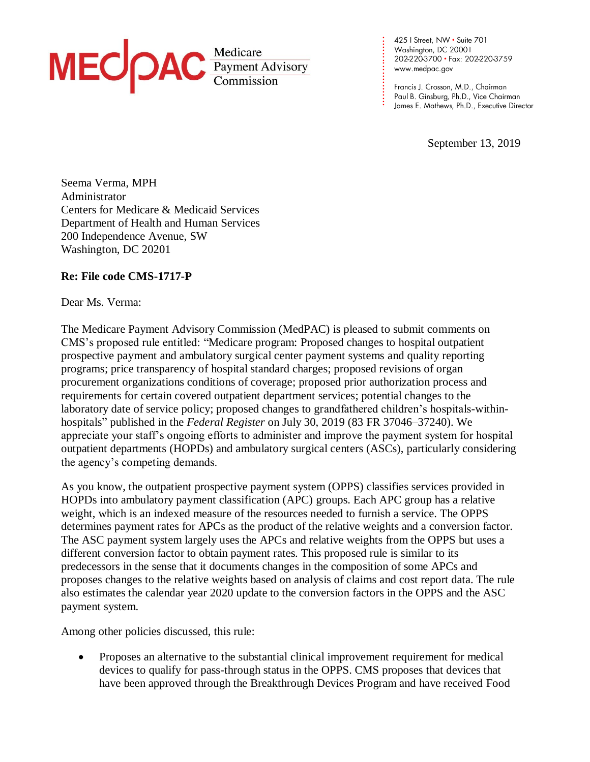

425 | Street, NW · Suite 701 Washington, DC 20001 202-220-3700 · Fax: 202-220-3759 www.medpac.gov

**. . . . . . . . . . . . . . . . . . . . . . . .**

Francis J. Crosson, M.D., Chairman Paul B. Ginsburg, Ph.D., Vice Chairman James E. Mathews, Ph.D., Executive Director

September 13, 2019

Seema Verma, MPH Administrator Centers for Medicare & Medicaid Services Department of Health and Human Services 200 Independence Avenue, SW Washington, DC 20201

## **Re: File code CMS-1717-P**

Dear Ms. Verma:

The Medicare Payment Advisory Commission (MedPAC) is pleased to submit comments on CMS's proposed rule entitled: "Medicare program: Proposed changes to hospital outpatient prospective payment and ambulatory surgical center payment systems and quality reporting programs; price transparency of hospital standard charges; proposed revisions of organ procurement organizations conditions of coverage; proposed prior authorization process and requirements for certain covered outpatient department services; potential changes to the laboratory date of service policy; proposed changes to grandfathered children's hospitals-withinhospitals" published in the *Federal Register* on July 30, 2019 (83 FR 37046–37240). We appreciate your staff's ongoing efforts to administer and improve the payment system for hospital outpatient departments (HOPDs) and ambulatory surgical centers (ASCs), particularly considering the agency's competing demands.

As you know, the outpatient prospective payment system (OPPS) classifies services provided in HOPDs into ambulatory payment classification (APC) groups. Each APC group has a relative weight, which is an indexed measure of the resources needed to furnish a service. The OPPS determines payment rates for APCs as the product of the relative weights and a conversion factor. The ASC payment system largely uses the APCs and relative weights from the OPPS but uses a different conversion factor to obtain payment rates. This proposed rule is similar to its predecessors in the sense that it documents changes in the composition of some APCs and proposes changes to the relative weights based on analysis of claims and cost report data. The rule also estimates the calendar year 2020 update to the conversion factors in the OPPS and the ASC payment system.

Among other policies discussed, this rule:

• Proposes an alternative to the substantial clinical improvement requirement for medical devices to qualify for pass-through status in the OPPS. CMS proposes that devices that have been approved through the Breakthrough Devices Program and have received Food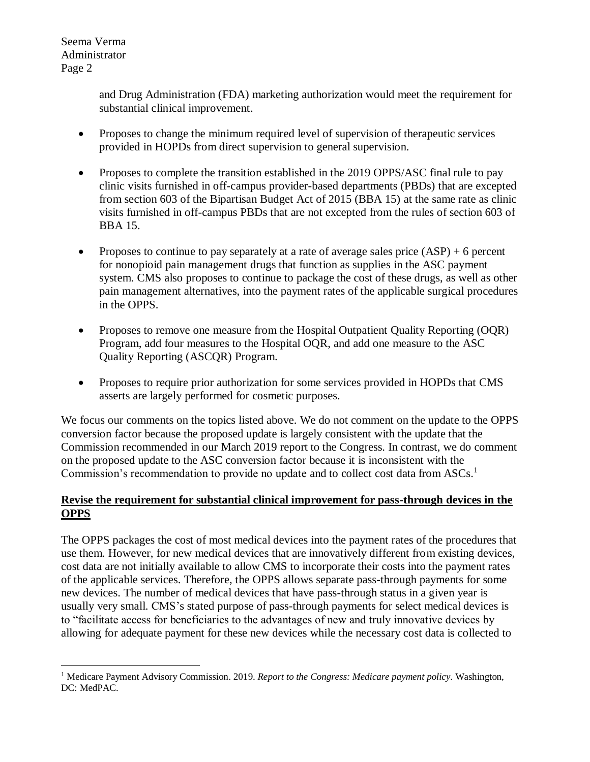> and Drug Administration (FDA) marketing authorization would meet the requirement for substantial clinical improvement.

- Proposes to change the minimum required level of supervision of therapeutic services provided in HOPDs from direct supervision to general supervision.
- Proposes to complete the transition established in the 2019 OPPS/ASC final rule to pay clinic visits furnished in off-campus provider-based departments (PBDs) that are excepted from section 603 of the Bipartisan Budget Act of 2015 (BBA 15) at the same rate as clinic visits furnished in off-campus PBDs that are not excepted from the rules of section 603 of BBA 15.
- Proposes to continue to pay separately at a rate of average sales price  $(ASP) + 6$  percent for nonopioid pain management drugs that function as supplies in the ASC payment system. CMS also proposes to continue to package the cost of these drugs, as well as other pain management alternatives, into the payment rates of the applicable surgical procedures in the OPPS.
- Proposes to remove one measure from the Hospital Outpatient Quality Reporting (OQR) Program, add four measures to the Hospital OQR, and add one measure to the ASC Quality Reporting (ASCQR) Program.
- Proposes to require prior authorization for some services provided in HOPDs that CMS asserts are largely performed for cosmetic purposes.

We focus our comments on the topics listed above. We do not comment on the update to the OPPS conversion factor because the proposed update is largely consistent with the update that the Commission recommended in our March 2019 report to the Congress. In contrast, we do comment on the proposed update to the ASC conversion factor because it is inconsistent with the Commission's recommendation to provide no update and to collect cost data from ASCs.<sup>1</sup>

# **Revise the requirement for substantial clinical improvement for pass-through devices in the OPPS**

The OPPS packages the cost of most medical devices into the payment rates of the procedures that use them. However, for new medical devices that are innovatively different from existing devices, cost data are not initially available to allow CMS to incorporate their costs into the payment rates of the applicable services. Therefore, the OPPS allows separate pass-through payments for some new devices. The number of medical devices that have pass-through status in a given year is usually very small. CMS's stated purpose of pass-through payments for select medical devices is to "facilitate access for beneficiaries to the advantages of new and truly innovative devices by allowing for adequate payment for these new devices while the necessary cost data is collected to

 $\overline{a}$ <sup>1</sup> Medicare Payment Advisory Commission. 2019. *Report to the Congress: Medicare payment policy*. Washington, DC: MedPAC.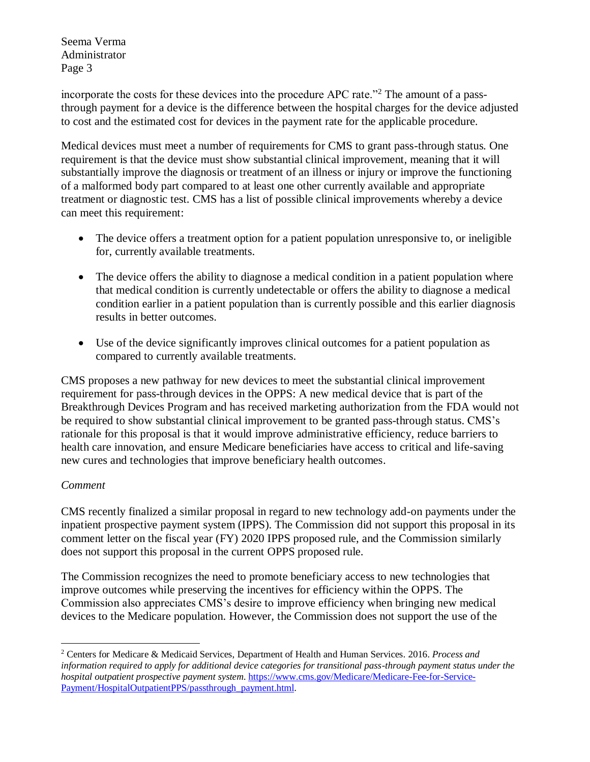incorporate the costs for these devices into the procedure APC rate."<sup>2</sup> The amount of a passthrough payment for a device is the difference between the hospital charges for the device adjusted to cost and the estimated cost for devices in the payment rate for the applicable procedure.

Medical devices must meet a number of requirements for CMS to grant pass-through status. One requirement is that the device must show substantial clinical improvement, meaning that it will substantially improve the diagnosis or treatment of an illness or injury or improve the functioning of a malformed body part compared to at least one other currently available and appropriate treatment or diagnostic test. CMS has a list of possible clinical improvements whereby a device can meet this requirement:

- The device offers a treatment option for a patient population unresponsive to, or ineligible for, currently available treatments.
- The device offers the ability to diagnose a medical condition in a patient population where that medical condition is currently undetectable or offers the ability to diagnose a medical condition earlier in a patient population than is currently possible and this earlier diagnosis results in better outcomes.
- Use of the device significantly improves clinical outcomes for a patient population as compared to currently available treatments.

CMS proposes a new pathway for new devices to meet the substantial clinical improvement requirement for pass-through devices in the OPPS: A new medical device that is part of the Breakthrough Devices Program and has received marketing authorization from the FDA would not be required to show substantial clinical improvement to be granted pass-through status. CMS's rationale for this proposal is that it would improve administrative efficiency, reduce barriers to health care innovation, and ensure Medicare beneficiaries have access to critical and life-saving new cures and technologies that improve beneficiary health outcomes.

## *Comment*

 $\overline{a}$ 

CMS recently finalized a similar proposal in regard to new technology add-on payments under the inpatient prospective payment system (IPPS). The Commission did not support this proposal in its comment letter on the fiscal year (FY) 2020 IPPS proposed rule, and the Commission similarly does not support this proposal in the current OPPS proposed rule.

The Commission recognizes the need to promote beneficiary access to new technologies that improve outcomes while preserving the incentives for efficiency within the OPPS. The Commission also appreciates CMS's desire to improve efficiency when bringing new medical devices to the Medicare population. However, the Commission does not support the use of the

<sup>2</sup> Centers for Medicare & Medicaid Services, Department of Health and Human Services. 2016. *Process and information required to apply for additional device categories for transitional pass-through payment status under the hospital outpatient prospective payment system*. [https://www.cms.gov/Medicare/Medicare-Fee-for-Service-](https://www.cms.gov/Medicare/Medicare-Fee-for-Service-Payment/HospitalOutpatientPPS/passthrough_payment.html)[Payment/HospitalOutpatientPPS/passthrough\\_payment.html.](https://www.cms.gov/Medicare/Medicare-Fee-for-Service-Payment/HospitalOutpatientPPS/passthrough_payment.html)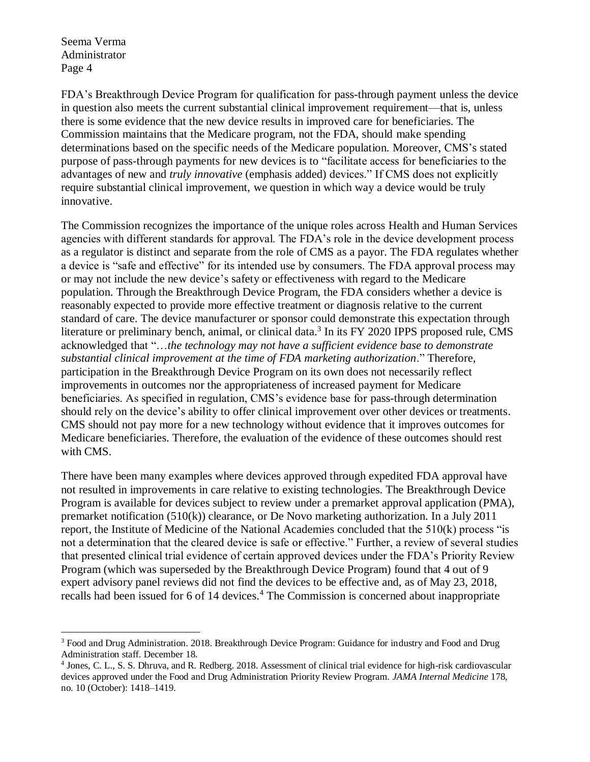$\overline{a}$ 

FDA's Breakthrough Device Program for qualification for pass-through payment unless the device in question also meets the current substantial clinical improvement requirement—that is, unless there is some evidence that the new device results in improved care for beneficiaries. The Commission maintains that the Medicare program, not the FDA, should make spending determinations based on the specific needs of the Medicare population. Moreover, CMS's stated purpose of pass-through payments for new devices is to "facilitate access for beneficiaries to the advantages of new and *truly innovative* (emphasis added) devices." If CMS does not explicitly require substantial clinical improvement, we question in which way a device would be truly innovative.

The Commission recognizes the importance of the unique roles across Health and Human Services agencies with different standards for approval. The FDA's role in the device development process as a regulator is distinct and separate from the role of CMS as a payor. The FDA regulates whether a device is "safe and effective" for its intended use by consumers. The FDA approval process may or may not include the new device's safety or effectiveness with regard to the Medicare population. Through the Breakthrough Device Program, the FDA considers whether a device is reasonably expected to provide more effective treatment or diagnosis relative to the current standard of care. The device manufacturer or sponsor could demonstrate this expectation through literature or preliminary bench, animal, or clinical data.<sup>3</sup> In its FY 2020 IPPS proposed rule, CMS acknowledged that "…*the technology may not have a sufficient evidence base to demonstrate substantial clinical improvement at the time of FDA marketing authorization*." Therefore, participation in the Breakthrough Device Program on its own does not necessarily reflect improvements in outcomes nor the appropriateness of increased payment for Medicare beneficiaries. As specified in regulation, CMS's evidence base for pass-through determination should rely on the device's ability to offer clinical improvement over other devices or treatments. CMS should not pay more for a new technology without evidence that it improves outcomes for Medicare beneficiaries. Therefore, the evaluation of the evidence of these outcomes should rest with CMS.

There have been many examples where devices approved through expedited FDA approval have not resulted in improvements in care relative to existing technologies. The Breakthrough Device Program is available for devices subject to review under a premarket approval application (PMA), premarket notification (510(k)) clearance, or De Novo marketing authorization. In a July 2011 report, the Institute of Medicine of the National Academies concluded that the 510(k) process "is not a determination that the cleared device is safe or effective." Further, a review of several studies that presented clinical trial evidence of certain approved devices under the FDA's Priority Review Program (which was superseded by the Breakthrough Device Program) found that 4 out of 9 expert advisory panel reviews did not find the devices to be effective and, as of May 23, 2018, recalls had been issued for 6 of 14 devices.<sup>4</sup> The Commission is concerned about inappropriate

<sup>&</sup>lt;sup>3</sup> Food and Drug Administration. 2018. Breakthrough Device Program: Guidance for industry and Food and Drug Administration staff. December 18.

<sup>4</sup> Jones, C. L., S. S. Dhruva, and R. Redberg. 2018. Assessment of clinical trial evidence for high-risk cardiovascular devices approved under the Food and Drug Administration Priority Review Program. *JAMA Internal Medicine* 178, no. 10 (October): 1418–1419.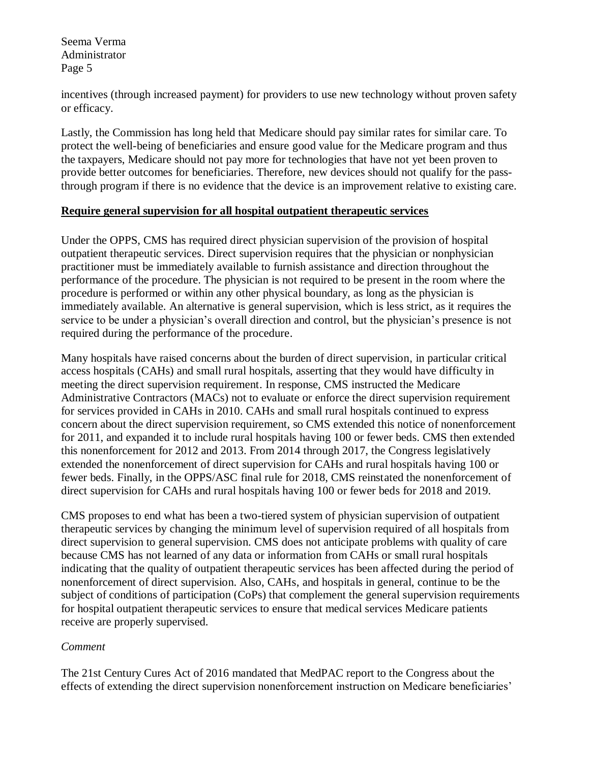incentives (through increased payment) for providers to use new technology without proven safety or efficacy.

Lastly, the Commission has long held that Medicare should pay similar rates for similar care. To protect the well-being of beneficiaries and ensure good value for the Medicare program and thus the taxpayers, Medicare should not pay more for technologies that have not yet been proven to provide better outcomes for beneficiaries. Therefore, new devices should not qualify for the passthrough program if there is no evidence that the device is an improvement relative to existing care.

#### **Require general supervision for all hospital outpatient therapeutic services**

Under the OPPS, CMS has required direct physician supervision of the provision of hospital outpatient therapeutic services. Direct supervision requires that the physician or nonphysician practitioner must be immediately available to furnish assistance and direction throughout the performance of the procedure. The physician is not required to be present in the room where the procedure is performed or within any other physical boundary, as long as the physician is immediately available. An alternative is general supervision, which is less strict, as it requires the service to be under a physician's overall direction and control, but the physician's presence is not required during the performance of the procedure.

Many hospitals have raised concerns about the burden of direct supervision, in particular critical access hospitals (CAHs) and small rural hospitals, asserting that they would have difficulty in meeting the direct supervision requirement. In response, CMS instructed the Medicare Administrative Contractors (MACs) not to evaluate or enforce the direct supervision requirement for services provided in CAHs in 2010. CAHs and small rural hospitals continued to express concern about the direct supervision requirement, so CMS extended this notice of nonenforcement for 2011, and expanded it to include rural hospitals having 100 or fewer beds. CMS then extended this nonenforcement for 2012 and 2013. From 2014 through 2017, the Congress legislatively extended the nonenforcement of direct supervision for CAHs and rural hospitals having 100 or fewer beds. Finally, in the OPPS/ASC final rule for 2018, CMS reinstated the nonenforcement of direct supervision for CAHs and rural hospitals having 100 or fewer beds for 2018 and 2019.

CMS proposes to end what has been a two-tiered system of physician supervision of outpatient therapeutic services by changing the minimum level of supervision required of all hospitals from direct supervision to general supervision. CMS does not anticipate problems with quality of care because CMS has not learned of any data or information from CAHs or small rural hospitals indicating that the quality of outpatient therapeutic services has been affected during the period of nonenforcement of direct supervision. Also, CAHs, and hospitals in general, continue to be the subject of conditions of participation (CoPs) that complement the general supervision requirements for hospital outpatient therapeutic services to ensure that medical services Medicare patients receive are properly supervised.

## *Comment*

The 21st Century Cures Act of 2016 mandated that MedPAC report to the Congress about the effects of extending the direct supervision nonenforcement instruction on Medicare beneficiaries'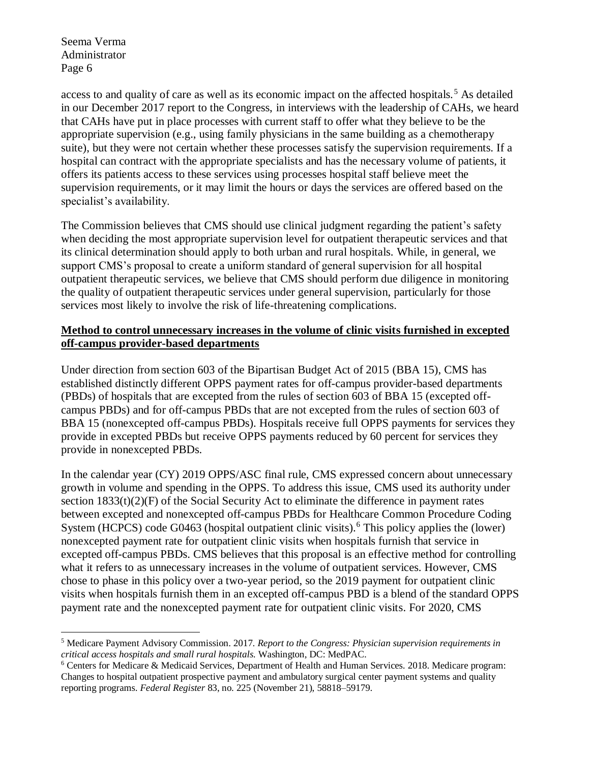$\overline{a}$ 

access to and quality of care as well as its economic impact on the affected hospitals.<sup>5</sup> As detailed in our December 2017 report to the Congress, in interviews with the leadership of CAHs, we heard that CAHs have put in place processes with current staff to offer what they believe to be the appropriate supervision (e.g., using family physicians in the same building as a chemotherapy suite), but they were not certain whether these processes satisfy the supervision requirements. If a hospital can contract with the appropriate specialists and has the necessary volume of patients, it offers its patients access to these services using processes hospital staff believe meet the supervision requirements, or it may limit the hours or days the services are offered based on the specialist's availability.

The Commission believes that CMS should use clinical judgment regarding the patient's safety when deciding the most appropriate supervision level for outpatient therapeutic services and that its clinical determination should apply to both urban and rural hospitals. While, in general, we support CMS's proposal to create a uniform standard of general supervision for all hospital outpatient therapeutic services, we believe that CMS should perform due diligence in monitoring the quality of outpatient therapeutic services under general supervision, particularly for those services most likely to involve the risk of life-threatening complications.

#### **Method to control unnecessary increases in the volume of clinic visits furnished in excepted off-campus provider-based departments**

Under direction from section 603 of the Bipartisan Budget Act of 2015 (BBA 15), CMS has established distinctly different OPPS payment rates for off-campus provider-based departments (PBDs) of hospitals that are excepted from the rules of section 603 of BBA 15 (excepted offcampus PBDs) and for off-campus PBDs that are not excepted from the rules of section 603 of BBA 15 (nonexcepted off-campus PBDs). Hospitals receive full OPPS payments for services they provide in excepted PBDs but receive OPPS payments reduced by 60 percent for services they provide in nonexcepted PBDs.

In the calendar year (CY) 2019 OPPS/ASC final rule, CMS expressed concern about unnecessary growth in volume and spending in the OPPS. To address this issue, CMS used its authority under section  $1833(t)(2)(F)$  of the Social Security Act to eliminate the difference in payment rates between excepted and nonexcepted off-campus PBDs for Healthcare Common Procedure Coding System (HCPCS) code G0463 (hospital outpatient clinic visits).<sup>6</sup> This policy applies the (lower) nonexcepted payment rate for outpatient clinic visits when hospitals furnish that service in excepted off-campus PBDs. CMS believes that this proposal is an effective method for controlling what it refers to as unnecessary increases in the volume of outpatient services. However, CMS chose to phase in this policy over a two-year period, so the 2019 payment for outpatient clinic visits when hospitals furnish them in an excepted off-campus PBD is a blend of the standard OPPS payment rate and the nonexcepted payment rate for outpatient clinic visits. For 2020, CMS

<sup>5</sup> Medicare Payment Advisory Commission. 2017. *Report to the Congress: Physician supervision requirements in critical access hospitals and small rural hospitals*. Washington, DC: MedPAC.

<sup>6</sup> Centers for Medicare & Medicaid Services, Department of Health and Human Services. 2018. Medicare program: Changes to hospital outpatient prospective payment and ambulatory surgical center payment systems and quality reporting programs. *Federal Register* 83, no. 225 (November 21), 58818–59179.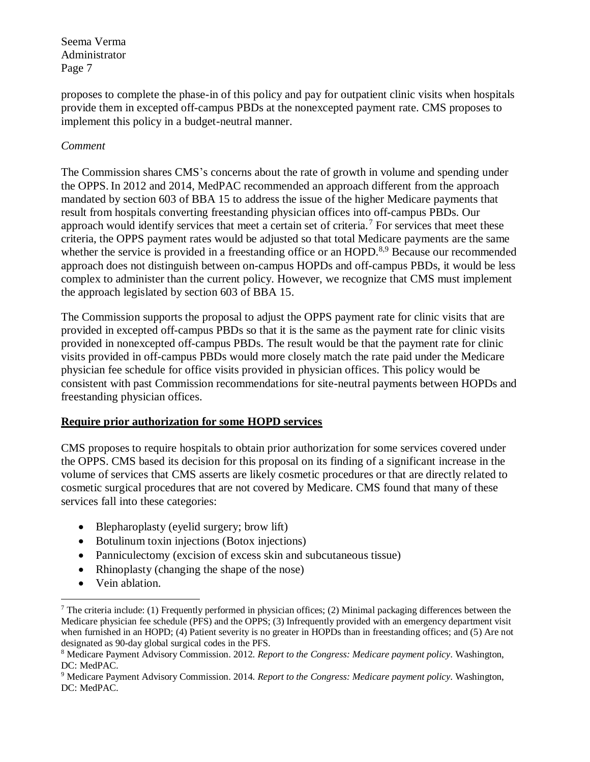proposes to complete the phase-in of this policy and pay for outpatient clinic visits when hospitals provide them in excepted off-campus PBDs at the nonexcepted payment rate. CMS proposes to implement this policy in a budget-neutral manner.

#### *Comment*

The Commission shares CMS's concerns about the rate of growth in volume and spending under the OPPS. In 2012 and 2014, MedPAC recommended an approach different from the approach mandated by section 603 of BBA 15 to address the issue of the higher Medicare payments that result from hospitals converting freestanding physician offices into off-campus PBDs. Our approach would identify services that meet a certain set of criteria.<sup>7</sup> For services that meet these criteria, the OPPS payment rates would be adjusted so that total Medicare payments are the same whether the service is provided in a freestanding office or an HOPD.<sup>8,9</sup> Because our recommended approach does not distinguish between on-campus HOPDs and off-campus PBDs, it would be less complex to administer than the current policy. However, we recognize that CMS must implement the approach legislated by section 603 of BBA 15.

The Commission supports the proposal to adjust the OPPS payment rate for clinic visits that are provided in excepted off-campus PBDs so that it is the same as the payment rate for clinic visits provided in nonexcepted off-campus PBDs. The result would be that the payment rate for clinic visits provided in off-campus PBDs would more closely match the rate paid under the Medicare physician fee schedule for office visits provided in physician offices. This policy would be consistent with past Commission recommendations for site-neutral payments between HOPDs and freestanding physician offices.

## **Require prior authorization for some HOPD services**

CMS proposes to require hospitals to obtain prior authorization for some services covered under the OPPS. CMS based its decision for this proposal on its finding of a significant increase in the volume of services that CMS asserts are likely cosmetic procedures or that are directly related to cosmetic surgical procedures that are not covered by Medicare. CMS found that many of these services fall into these categories:

- Blepharoplasty (eyelid surgery; brow lift)
- Botulinum toxin injections (Botox injections)
- Panniculectomy (excision of excess skin and subcutaneous tissue)
- Rhinoplasty (changing the shape of the nose)
- Vein ablation.

 $\overline{a}$ 

<sup>7</sup> The criteria include: (1) Frequently performed in physician offices; (2) Minimal packaging differences between the Medicare physician fee schedule (PFS) and the OPPS; (3) Infrequently provided with an emergency department visit when furnished in an HOPD; (4) Patient severity is no greater in HOPDs than in freestanding offices; and (5) Are not designated as 90-day global surgical codes in the PFS.

<sup>8</sup> Medicare Payment Advisory Commission. 2012. *Report to the Congress: Medicare payment policy*. Washington, DC: MedPAC.

<sup>9</sup> Medicare Payment Advisory Commission. 2014. *Report to the Congress: Medicare payment policy*. Washington, DC: MedPAC.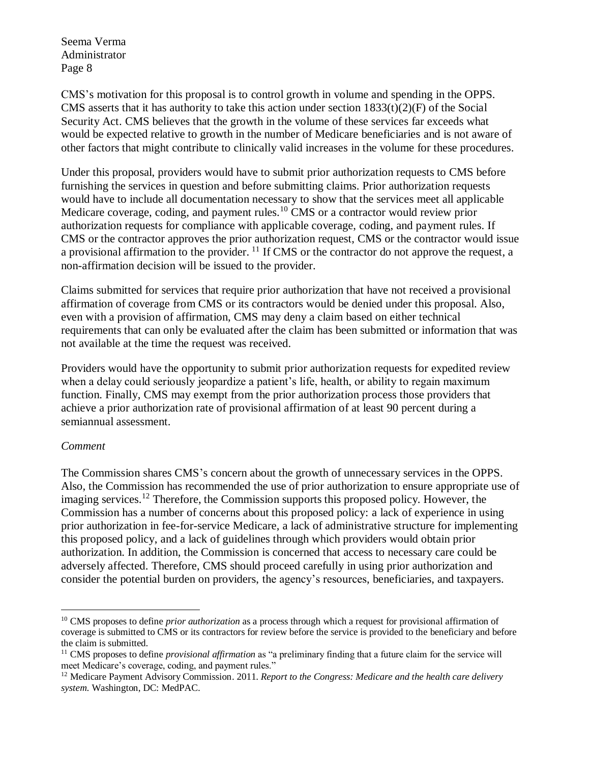CMS's motivation for this proposal is to control growth in volume and spending in the OPPS. CMS asserts that it has authority to take this action under section  $1833(t)(2)(F)$  of the Social Security Act. CMS believes that the growth in the volume of these services far exceeds what would be expected relative to growth in the number of Medicare beneficiaries and is not aware of other factors that might contribute to clinically valid increases in the volume for these procedures.

Under this proposal, providers would have to submit prior authorization requests to CMS before furnishing the services in question and before submitting claims. Prior authorization requests would have to include all documentation necessary to show that the services meet all applicable Medicare coverage, coding, and payment rules.<sup>10</sup> CMS or a contractor would review prior authorization requests for compliance with applicable coverage, coding, and payment rules. If CMS or the contractor approves the prior authorization request, CMS or the contractor would issue a provisional affirmation to the provider. <sup>11</sup> If CMS or the contractor do not approve the request, a non-affirmation decision will be issued to the provider.

Claims submitted for services that require prior authorization that have not received a provisional affirmation of coverage from CMS or its contractors would be denied under this proposal. Also, even with a provision of affirmation, CMS may deny a claim based on either technical requirements that can only be evaluated after the claim has been submitted or information that was not available at the time the request was received.

Providers would have the opportunity to submit prior authorization requests for expedited review when a delay could seriously jeopardize a patient's life, health, or ability to regain maximum function. Finally, CMS may exempt from the prior authorization process those providers that achieve a prior authorization rate of provisional affirmation of at least 90 percent during a semiannual assessment.

#### *Comment*

 $\overline{a}$ 

The Commission shares CMS's concern about the growth of unnecessary services in the OPPS. Also, the Commission has recommended the use of prior authorization to ensure appropriate use of imaging services.<sup>12</sup> Therefore, the Commission supports this proposed policy. However, the Commission has a number of concerns about this proposed policy: a lack of experience in using prior authorization in fee-for-service Medicare, a lack of administrative structure for implementing this proposed policy, and a lack of guidelines through which providers would obtain prior authorization. In addition, the Commission is concerned that access to necessary care could be adversely affected. Therefore, CMS should proceed carefully in using prior authorization and consider the potential burden on providers, the agency's resources, beneficiaries, and taxpayers.

<sup>&</sup>lt;sup>10</sup> CMS proposes to define *prior authorization* as a process through which a request for provisional affirmation of coverage is submitted to CMS or its contractors for review before the service is provided to the beneficiary and before the claim is submitted.

<sup>11</sup> CMS proposes to define *provisional affirmation* as "a preliminary finding that a future claim for the service will meet Medicare's coverage, coding, and payment rules."

<sup>&</sup>lt;sup>12</sup> Medicare Payment Advisory Commission. 2011. *Report to the Congress: Medicare and the health care delivery system*. Washington, DC: MedPAC.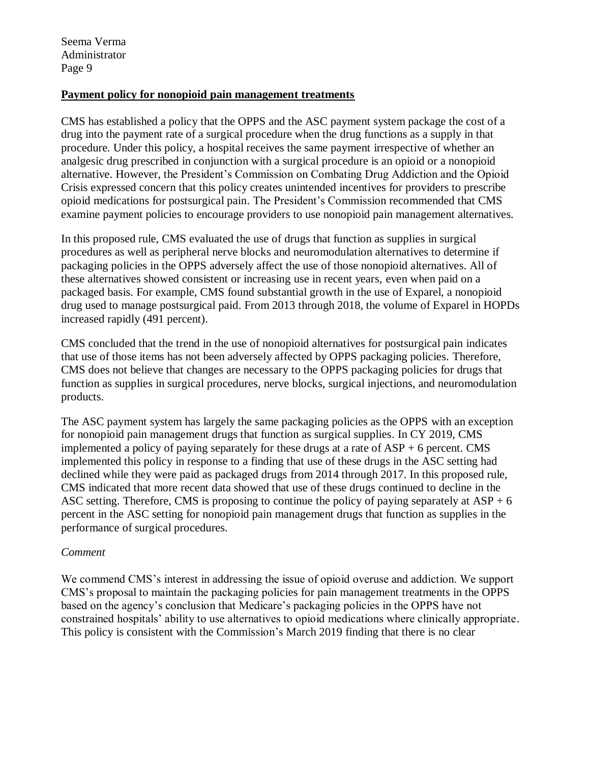#### **Payment policy for nonopioid pain management treatments**

CMS has established a policy that the OPPS and the ASC payment system package the cost of a drug into the payment rate of a surgical procedure when the drug functions as a supply in that procedure. Under this policy, a hospital receives the same payment irrespective of whether an analgesic drug prescribed in conjunction with a surgical procedure is an opioid or a nonopioid alternative. However, the President's Commission on Combating Drug Addiction and the Opioid Crisis expressed concern that this policy creates unintended incentives for providers to prescribe opioid medications for postsurgical pain. The President's Commission recommended that CMS examine payment policies to encourage providers to use nonopioid pain management alternatives.

In this proposed rule, CMS evaluated the use of drugs that function as supplies in surgical procedures as well as peripheral nerve blocks and neuromodulation alternatives to determine if packaging policies in the OPPS adversely affect the use of those nonopioid alternatives. All of these alternatives showed consistent or increasing use in recent years, even when paid on a packaged basis. For example, CMS found substantial growth in the use of Exparel, a nonopioid drug used to manage postsurgical paid. From 2013 through 2018, the volume of Exparel in HOPDs increased rapidly (491 percent).

CMS concluded that the trend in the use of nonopioid alternatives for postsurgical pain indicates that use of those items has not been adversely affected by OPPS packaging policies. Therefore, CMS does not believe that changes are necessary to the OPPS packaging policies for drugs that function as supplies in surgical procedures, nerve blocks, surgical injections, and neuromodulation products.

The ASC payment system has largely the same packaging policies as the OPPS with an exception for nonopioid pain management drugs that function as surgical supplies. In CY 2019, CMS implemented a policy of paying separately for these drugs at a rate of  $ASP + 6$  percent. CMS implemented this policy in response to a finding that use of these drugs in the ASC setting had declined while they were paid as packaged drugs from 2014 through 2017. In this proposed rule, CMS indicated that more recent data showed that use of these drugs continued to decline in the ASC setting. Therefore, CMS is proposing to continue the policy of paying separately at  $\text{ASP} + 6$ percent in the ASC setting for nonopioid pain management drugs that function as supplies in the performance of surgical procedures.

## *Comment*

We commend CMS's interest in addressing the issue of opioid overuse and addiction. We support CMS's proposal to maintain the packaging policies for pain management treatments in the OPPS based on the agency's conclusion that Medicare's packaging policies in the OPPS have not constrained hospitals' ability to use alternatives to opioid medications where clinically appropriate. This policy is consistent with the Commission's March 2019 finding that there is no clear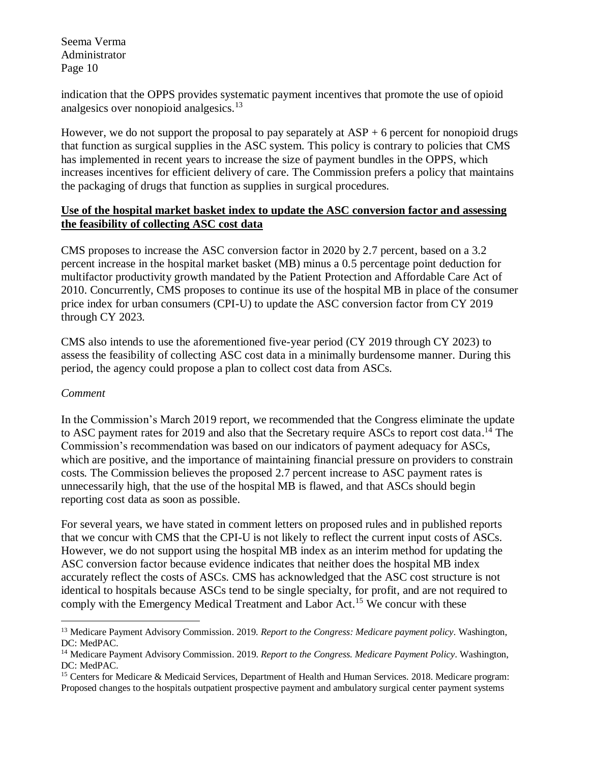indication that the OPPS provides systematic payment incentives that promote the use of opioid analgesics over nonopioid analgesics. $13$ 

However, we do not support the proposal to pay separately at  $ASP + 6$  percent for nonopioid drugs that function as surgical supplies in the ASC system. This policy is contrary to policies that CMS has implemented in recent years to increase the size of payment bundles in the OPPS, which increases incentives for efficient delivery of care. The Commission prefers a policy that maintains the packaging of drugs that function as supplies in surgical procedures.

#### **Use of the hospital market basket index to update the ASC conversion factor and assessing the feasibility of collecting ASC cost data**

CMS proposes to increase the ASC conversion factor in 2020 by 2.7 percent, based on a 3.2 percent increase in the hospital market basket (MB) minus a 0.5 percentage point deduction for multifactor productivity growth mandated by the Patient Protection and Affordable Care Act of 2010. Concurrently, CMS proposes to continue its use of the hospital MB in place of the consumer price index for urban consumers (CPI-U) to update the ASC conversion factor from CY 2019 through CY 2023.

CMS also intends to use the aforementioned five-year period (CY 2019 through CY 2023) to assess the feasibility of collecting ASC cost data in a minimally burdensome manner. During this period, the agency could propose a plan to collect cost data from ASCs.

## *Comment*

 $\overline{a}$ 

In the Commission's March 2019 report, we recommended that the Congress eliminate the update to ASC payment rates for 2019 and also that the Secretary require ASCs to report cost data.<sup>14</sup> The Commission's recommendation was based on our indicators of payment adequacy for ASCs, which are positive, and the importance of maintaining financial pressure on providers to constrain costs. The Commission believes the proposed 2.7 percent increase to ASC payment rates is unnecessarily high, that the use of the hospital MB is flawed, and that ASCs should begin reporting cost data as soon as possible.

For several years, we have stated in comment letters on proposed rules and in published reports that we concur with CMS that the CPI-U is not likely to reflect the current input costs of ASCs. However, we do not support using the hospital MB index as an interim method for updating the ASC conversion factor because evidence indicates that neither does the hospital MB index accurately reflect the costs of ASCs. CMS has acknowledged that the ASC cost structure is not identical to hospitals because ASCs tend to be single specialty, for profit, and are not required to comply with the Emergency Medical Treatment and Labor Act.<sup>15</sup> We concur with these

<sup>13</sup> Medicare Payment Advisory Commission. 2019. *Report to the Congress: Medicare payment policy*. Washington, DC: MedPAC.

<sup>14</sup> Medicare Payment Advisory Commission. 2019. *Report to the Congress. Medicare Payment Policy*. Washington, DC: MedPAC.

<sup>15</sup> Centers for Medicare & Medicaid Services, Department of Health and Human Services. 2018. Medicare program: Proposed changes to the hospitals outpatient prospective payment and ambulatory surgical center payment systems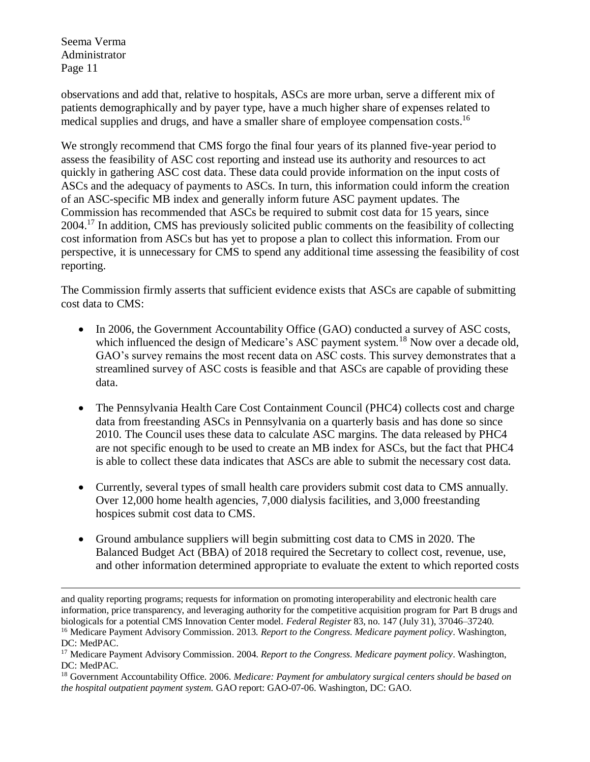observations and add that, relative to hospitals, ASCs are more urban, serve a different mix of patients demographically and by payer type, have a much higher share of expenses related to medical supplies and drugs, and have a smaller share of employee compensation costs.<sup>16</sup>

We strongly recommend that CMS forgo the final four years of its planned five-year period to assess the feasibility of ASC cost reporting and instead use its authority and resources to act quickly in gathering ASC cost data. These data could provide information on the input costs of ASCs and the adequacy of payments to ASCs. In turn, this information could inform the creation of an ASC-specific MB index and generally inform future ASC payment updates. The Commission has recommended that ASCs be required to submit cost data for 15 years, since 2004.<sup>17</sup> In addition, CMS has previously solicited public comments on the feasibility of collecting cost information from ASCs but has yet to propose a plan to collect this information. From our perspective, it is unnecessary for CMS to spend any additional time assessing the feasibility of cost reporting.

The Commission firmly asserts that sufficient evidence exists that ASCs are capable of submitting cost data to CMS:

- In 2006, the Government Accountability Office (GAO) conducted a survey of ASC costs, which influenced the design of Medicare's ASC payment system.<sup>18</sup> Now over a decade old, GAO's survey remains the most recent data on ASC costs. This survey demonstrates that a streamlined survey of ASC costs is feasible and that ASCs are capable of providing these data.
- The Pennsylvania Health Care Cost Containment Council (PHC4) collects cost and charge data from freestanding ASCs in Pennsylvania on a quarterly basis and has done so since 2010. The Council uses these data to calculate ASC margins. The data released by PHC4 are not specific enough to be used to create an MB index for ASCs, but the fact that PHC4 is able to collect these data indicates that ASCs are able to submit the necessary cost data.
- Currently, several types of small health care providers submit cost data to CMS annually. Over 12,000 home health agencies, 7,000 dialysis facilities, and 3,000 freestanding hospices submit cost data to CMS.
- Ground ambulance suppliers will begin submitting cost data to CMS in 2020. The Balanced Budget Act (BBA) of 2018 required the Secretary to collect cost, revenue, use, and other information determined appropriate to evaluate the extent to which reported costs

 $\overline{a}$ 

and quality reporting programs; requests for information on promoting interoperability and electronic health care information, price transparency, and leveraging authority for the competitive acquisition program for Part B drugs and biologicals for a potential CMS Innovation Center model. *Federal Register* 83, no. 147 (July 31), 37046–37240. <sup>16</sup> Medicare Payment Advisory Commission. 2013. *Report to the Congress. Medicare payment policy*. Washington,

DC: MedPAC.

<sup>17</sup> Medicare Payment Advisory Commission. 2004. *Report to the Congress. Medicare payment policy*. Washington, DC: MedPAC.

<sup>18</sup> Government Accountability Office. 2006. *Medicare: Payment for ambulatory surgical centers should be based on the hospital outpatient payment system*. GAO report: GAO-07-06. Washington, DC: GAO.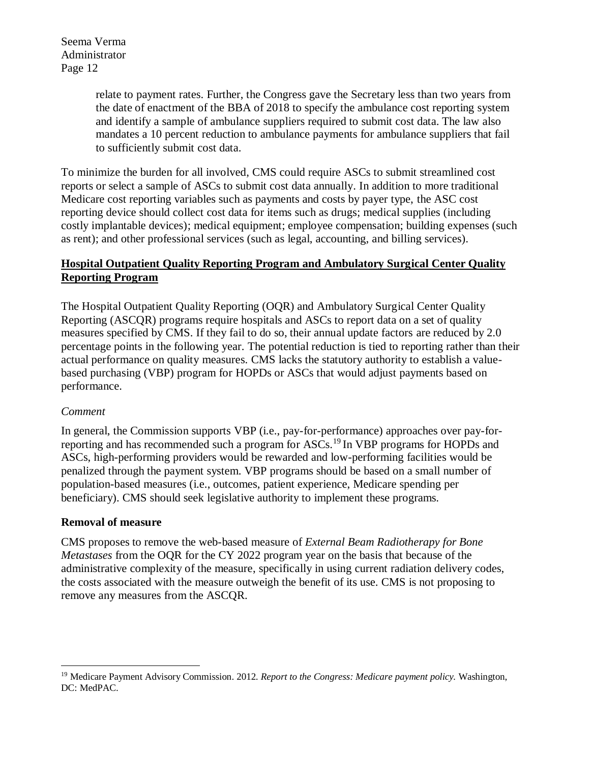> relate to payment rates. Further, the Congress gave the Secretary less than two years from the date of enactment of the BBA of 2018 to specify the ambulance cost reporting system and identify a sample of ambulance suppliers required to submit cost data. The law also mandates a 10 percent reduction to ambulance payments for ambulance suppliers that fail to sufficiently submit cost data.

To minimize the burden for all involved, CMS could require ASCs to submit streamlined cost reports or select a sample of ASCs to submit cost data annually. In addition to more traditional Medicare cost reporting variables such as payments and costs by payer type, the ASC cost reporting device should collect cost data for items such as drugs; medical supplies (including costly implantable devices); medical equipment; employee compensation; building expenses (such as rent); and other professional services (such as legal, accounting, and billing services).

# **Hospital Outpatient Quality Reporting Program and Ambulatory Surgical Center Quality Reporting Program**

The Hospital Outpatient Quality Reporting (OQR) and Ambulatory Surgical Center Quality Reporting (ASCQR) programs require hospitals and ASCs to report data on a set of quality measures specified by CMS. If they fail to do so, their annual update factors are reduced by 2.0 percentage points in the following year. The potential reduction is tied to reporting rather than their actual performance on quality measures. CMS lacks the statutory authority to establish a valuebased purchasing (VBP) program for HOPDs or ASCs that would adjust payments based on performance.

## *Comment*

 $\overline{a}$ 

In general, the Commission supports VBP (i.e., pay-for-performance) approaches over pay-forreporting and has recommended such a program for ASCs.<sup>19</sup> In VBP programs for HOPDs and ASCs, high-performing providers would be rewarded and low-performing facilities would be penalized through the payment system. VBP programs should be based on a small number of population-based measures (i.e., outcomes, patient experience, Medicare spending per beneficiary). CMS should seek legislative authority to implement these programs.

## **Removal of measure**

CMS proposes to remove the web-based measure of *External Beam Radiotherapy for Bone Metastases* from the OQR for the CY 2022 program year on the basis that because of the administrative complexity of the measure, specifically in using current radiation delivery codes, the costs associated with the measure outweigh the benefit of its use. CMS is not proposing to remove any measures from the ASCQR.

<sup>19</sup> Medicare Payment Advisory Commission. 2012. *Report to the Congress: Medicare payment policy.* Washington, DC: MedPAC.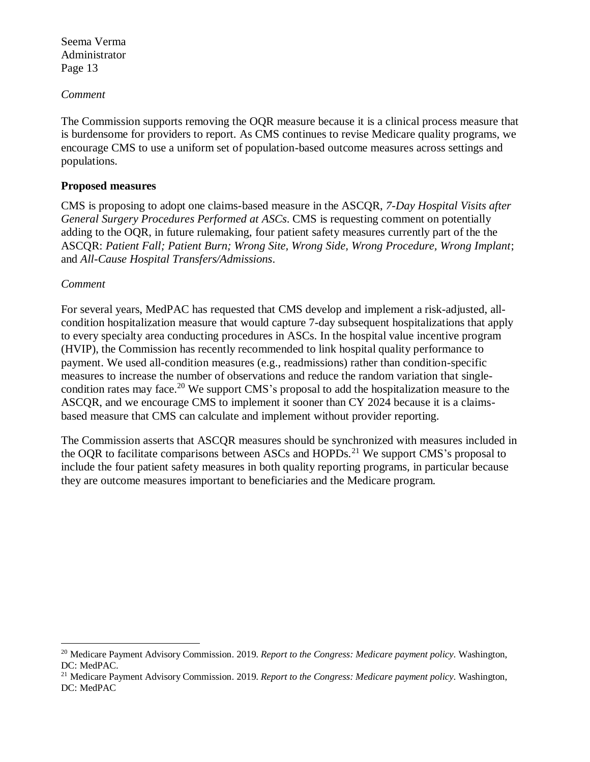#### *Comment*

The Commission supports removing the OQR measure because it is a clinical process measure that is burdensome for providers to report. As CMS continues to revise Medicare quality programs, we encourage CMS to use a uniform set of population-based outcome measures across settings and populations.

#### **Proposed measures**

CMS is proposing to adopt one claims-based measure in the ASCQR, *7-Day Hospital Visits after General Surgery Procedures Performed at ASCs*. CMS is requesting comment on potentially adding to the OQR, in future rulemaking, four patient safety measures currently part of the the ASCQR: *Patient Fall; Patient Burn; Wrong Site, Wrong Side, Wrong Procedure, Wrong Implant*; and *All-Cause Hospital Transfers/Admissions*.

#### *Comment*

 $\overline{a}$ 

For several years, MedPAC has requested that CMS develop and implement a risk-adjusted, allcondition hospitalization measure that would capture 7-day subsequent hospitalizations that apply to every specialty area conducting procedures in ASCs. In the hospital value incentive program (HVIP), the Commission has recently recommended to link hospital quality performance to payment. We used all-condition measures (e.g., readmissions) rather than condition-specific measures to increase the number of observations and reduce the random variation that singlecondition rates may face.<sup>20</sup> We support CMS's proposal to add the hospitalization measure to the ASCQR, and we encourage CMS to implement it sooner than CY 2024 because it is a claimsbased measure that CMS can calculate and implement without provider reporting.

The Commission asserts that ASCQR measures should be synchronized with measures included in the OQR to facilitate comparisons between ASCs and HOPDs.<sup>21</sup> We support CMS's proposal to include the four patient safety measures in both quality reporting programs, in particular because they are outcome measures important to beneficiaries and the Medicare program.

<sup>20</sup> Medicare Payment Advisory Commission. 2019. *Report to the Congress: Medicare payment policy*. Washington, DC: MedPAC.

<sup>21</sup> Medicare Payment Advisory Commission. 2019. *Report to the Congress: Medicare payment policy*. Washington, DC: MedPAC